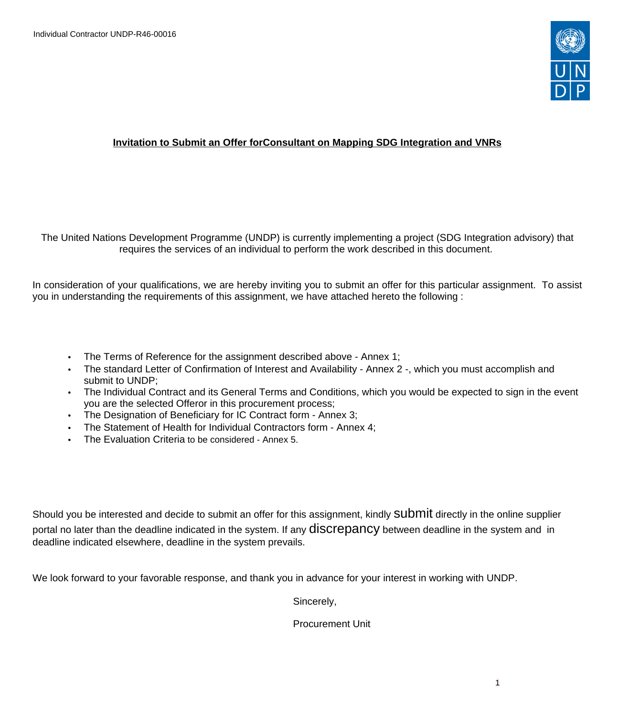

### **Invitation to Submit an Offer forConsultant on Mapping SDG Integration and VNRs**

The United Nations Development Programme (UNDP) is currently implementing a project (SDG Integration advisory) that requires the services of an individual to perform the work described in this document.

In consideration of your qualifications, we are hereby inviting you to submit an offer for this particular assignment. To assist you in understanding the requirements of this assignment, we have attached hereto the following :

- The Terms of Reference for the assignment described above Annex 1;
- The standard Letter of Confirmation of Interest and Availability Annex 2 -, which you must accomplish and submit to UNDP;
- The Individual Contract and its General Terms and Conditions, which you would be expected to sign in the event you are the selected Offeror in this procurement process;
- The Designation of Beneficiary for IC Contract form Annex 3;
- The Statement of Health for Individual Contractors form Annex 4;
- The Evaluation Criteria to be considered Annex 5.

Should you be interested and decide to submit an offer for this assignment, kindly SUDMIt directly in the online supplier portal no later than the deadline indicated in the system. If any **diSCrepancy** between deadline in the system and in deadline indicated elsewhere, deadline in the system prevails.

We look forward to your favorable response, and thank you in advance for your interest in working with UNDP.

Sincerely,

Procurement Unit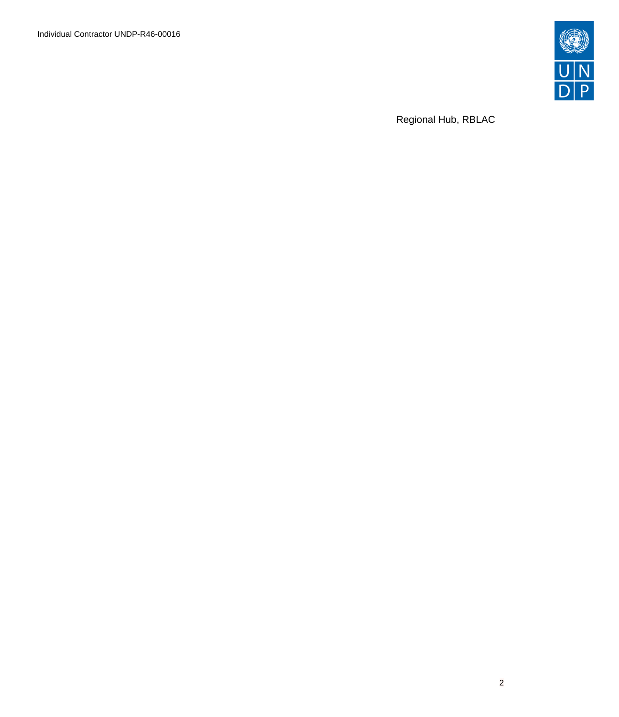Individual Contractor UNDP-R46-00016



Regional Hub, RBLAC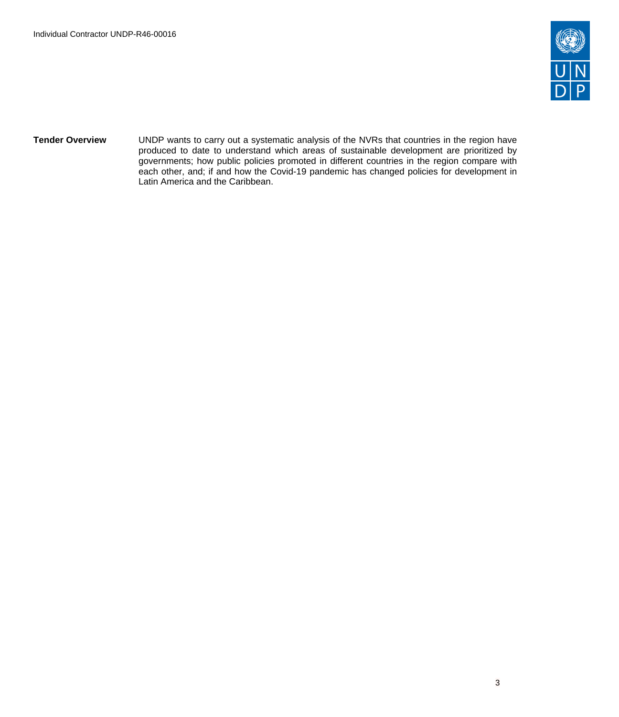

**Tender Overview** UNDP wants to carry out a systematic analysis of the NVRs that countries in the region have produced to date to understand which areas of sustainable development are prioritized by governments; how public policies promoted in different countries in the region compare with each other, and; if and how the Covid-19 pandemic has changed policies for development in Latin America and the Caribbean.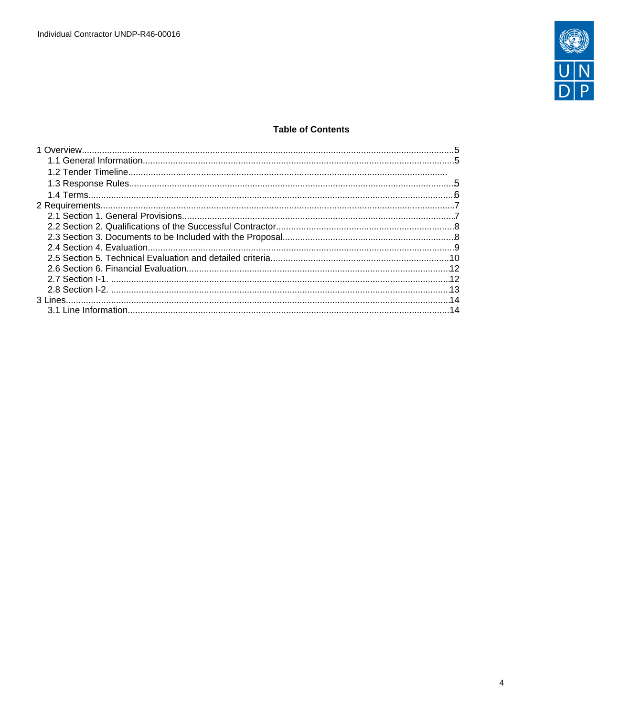

## **Table of Contents**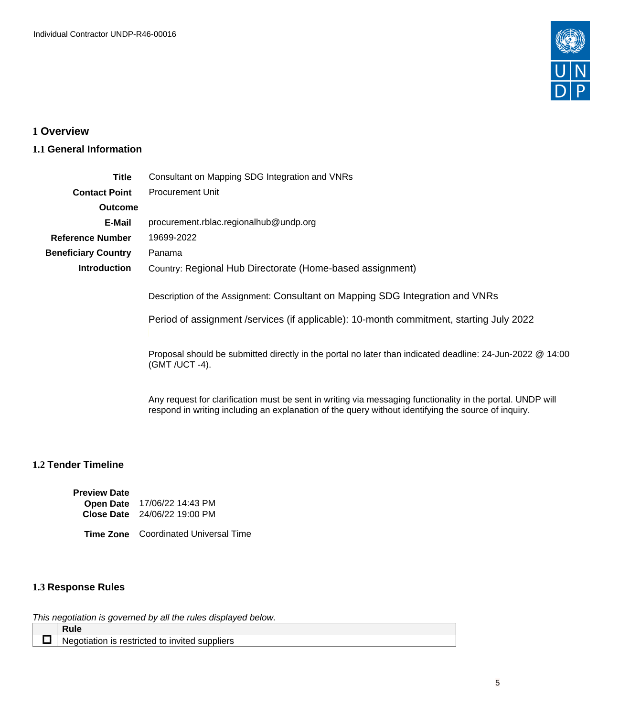

# <span id="page-4-0"></span>**1 Overview**

## <span id="page-4-1"></span>**1.1 General Information**

| <b>Title</b>                                                                                                                | Consultant on Mapping SDG Integration and VNRs                                                                                                                                                                    |  |  |  |
|-----------------------------------------------------------------------------------------------------------------------------|-------------------------------------------------------------------------------------------------------------------------------------------------------------------------------------------------------------------|--|--|--|
| <b>Contact Point</b>                                                                                                        | <b>Procurement Unit</b>                                                                                                                                                                                           |  |  |  |
| <b>Outcome</b>                                                                                                              |                                                                                                                                                                                                                   |  |  |  |
| E-Mail                                                                                                                      | procurement.rblac.regionalhub@undp.org                                                                                                                                                                            |  |  |  |
| <b>Reference Number</b>                                                                                                     | 19699-2022                                                                                                                                                                                                        |  |  |  |
| <b>Beneficiary Country</b>                                                                                                  | Panama                                                                                                                                                                                                            |  |  |  |
| <b>Introduction</b>                                                                                                         | Country: Regional Hub Directorate (Home-based assignment)                                                                                                                                                         |  |  |  |
|                                                                                                                             | Description of the Assignment: Consultant on Mapping SDG Integration and VNRs<br>Period of assignment /services (if applicable): 10-month commitment, starting July 2022                                          |  |  |  |
| Proposal should be submitted directly in the portal no later than indicated deadline: 24-Jun-2022 @ 14:00<br>(GMT /UCT -4). |                                                                                                                                                                                                                   |  |  |  |
|                                                                                                                             | Any request for clarification must be sent in writing via messaging functionality in the portal. UNDP will<br>respond in writing including an explanation of the query without identifying the source of inquiry. |  |  |  |

## **1.2 Tender Timeline**

| <b>Preview Date</b> |                              |
|---------------------|------------------------------|
| <b>Open Date</b>    | 17/06/22 14:43 PM            |
|                     | Close Date 24/06/22 19:00 PM |

**Time Zone** Coordinated Universal Time

## <span id="page-4-2"></span>**1.3 Response Rules**

This negotiation is governed by all the rules displayed below.

| .<br>NA.<br>. .<br>uppliers.<br>п<br>. . |
|------------------------------------------|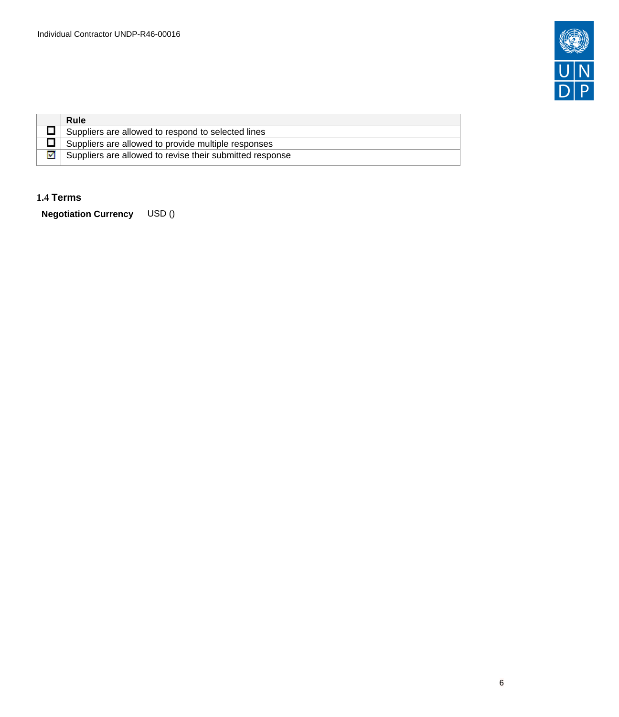

| <b>Rule</b>                                              |
|----------------------------------------------------------|
| Suppliers are allowed to respond to selected lines       |
| Suppliers are allowed to provide multiple responses      |
| Suppliers are allowed to revise their submitted response |

### <span id="page-5-0"></span>**1.4 Terms**

**Negotiation Currency** USD ()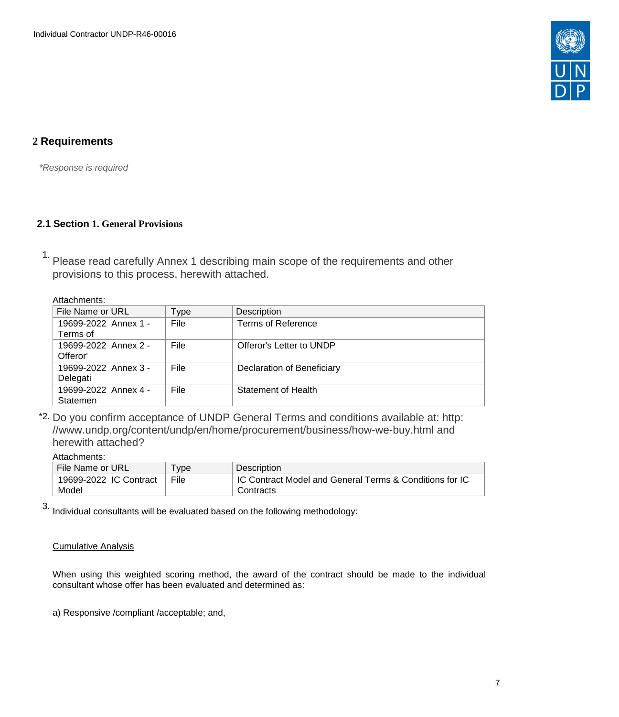

## <span id="page-6-0"></span>**2 Requirements**

\*Response is required

## <span id="page-6-1"></span>**2.1 Section 1. General Provisions**

1. Please read carefully Annex 1 describing main scope of the requirements and other provisions to this process, herewith attached.

Attachments:

| File Name or URL                 | Type | Description                |
|----------------------------------|------|----------------------------|
| 19699-2022 Annex 1 -<br>Terms of | File | Terms of Reference         |
|                                  |      |                            |
| 19699-2022 Annex 2 -<br>Offeror' | File | Offeror's Letter to UNDP   |
| 19699-2022 Annex 3 -<br>Delegati | File | Declaration of Beneficiary |
| 19699-2022 Annex 4 -<br>Statemen | File | Statement of Health        |

\*2. Do you confirm acceptance of UNDP General Terms and conditions available at: http: //www.undp.org/content/undp/en/home/procurement/business/how-we-buy.html and herewith attached?

### Attachments:

| File Name or URL       | <b>vpe</b> | Description                                             |
|------------------------|------------|---------------------------------------------------------|
| 19699-2022 IC Contract | File       | IC Contract Model and General Terms & Conditions for IC |
| Model                  |            | Contracts                                               |
|                        |            |                                                         |

3. Individual consultants will be evaluated based on the following methodology:

### Cumulative Analysis

When using this weighted scoring method, the award of the contract should be made to the individual consultant whose offer has been evaluated and determined as:

a) Responsive /compliant /acceptable; and,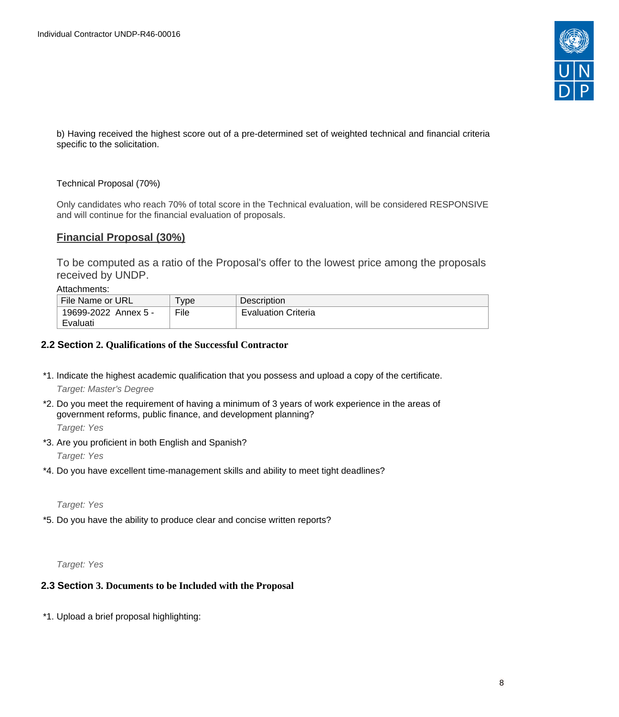

b) Having received the highest score out of a pre-determined set of weighted technical and financial criteria specific to the solicitation.

### Technical Proposal (70%)

Only candidates who reach 70% of total score in the Technical evaluation, will be considered RESPONSIVE and will continue for the financial evaluation of proposals.

### **Financial Proposal (30%)**

To be computed as a ratio of the Proposal's offer to the lowest price among the proposals received by UNDP.

Attachments:

| File Name or URL                 | <b>vpe</b> | <b>Description</b>         |
|----------------------------------|------------|----------------------------|
| 19699-2022 Annex 5 -<br>Evaluati | File       | <b>Evaluation Criteria</b> |

#### <span id="page-7-0"></span>**2.2 Section 2. Qualifications of the Successful Contractor**

\*1. Indicate the highest academic qualification that you possess and upload a copy of the certificate. Target: Master's Degree

\*2. Do you meet the requirement of having a minimum of 3 years of work experience in the areas of government reforms, public finance, and development planning?

Target: Yes

\*3. Are you proficient in both English and Spanish?

Target: Yes

\*4. Do you have excellent time-management skills and ability to meet tight deadlines?

Target: Yes

\*5. Do you have the ability to produce clear and concise written reports?

Target: Yes

### <span id="page-7-1"></span>**2.3 Section 3. Documents to be Included with the Proposal**

\*1. Upload a brief proposal highlighting: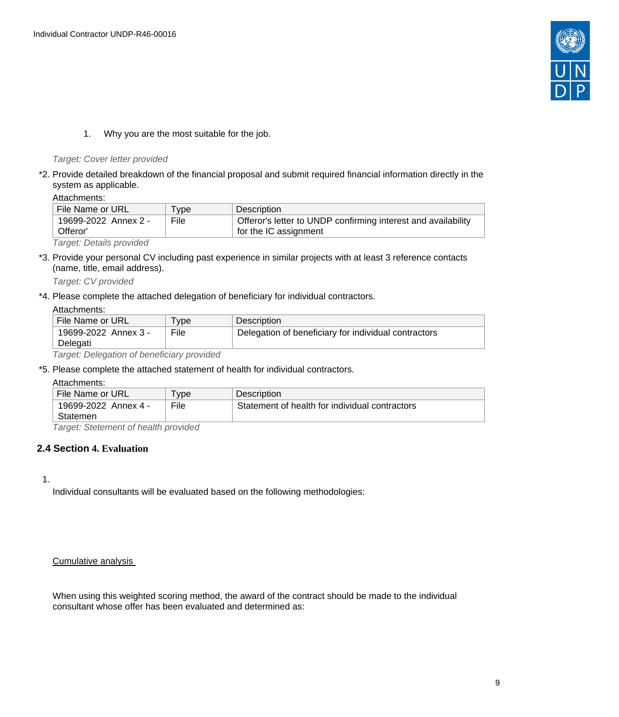

1. Why you are the most suitable for the job.

#### Target: Cover letter provided

\*2. Provide detailed breakdown of the financial proposal and submit required financial information directly in the system as applicable.

Attachments:

| l File Name or URL               | vpe <sup>-</sup> | Description                                                                            |
|----------------------------------|------------------|----------------------------------------------------------------------------------------|
| 19699-2022 Annex 2 -<br>Offeror' | File             | Offeror's letter to UNDP confirming interest and availability<br>for the IC assignment |
|                                  |                  |                                                                                        |

Target: Details provided

\*3. Provide your personal CV including past experience in similar projects with at least 3 reference contacts (name, title, email address).

Target: CV provided

\*4. Please complete the attached delegation of beneficiary for individual contractors.

#### Attachments:

| File Name or URL     | vpe  | Description                                          |
|----------------------|------|------------------------------------------------------|
| 19699-2022 Annex 3 - | File | Delegation of beneficiary for individual contractors |
| Delegati             |      |                                                      |
|                      |      |                                                      |

Target: Delegation of beneficiary provided

\*5. Please complete the attached statement of health for individual contractors.

#### Attachments:

| .                                                        |       |                                                |  |
|----------------------------------------------------------|-------|------------------------------------------------|--|
| File Name or URL                                         | ' vpe | <b>Description</b>                             |  |
| 19699-2022 Annex 4 -                                     | File  | Statement of health for individual contractors |  |
| Statemen                                                 |       |                                                |  |
| $\tau$ suare (c. Otetsua su t. ef. k. s. Uk. musi dels d |       |                                                |  |

Target: Stetement of health provided

### <span id="page-8-0"></span>**2.4 Section 4. Evaluation**

1.

Individual consultants will be evaluated based on the following methodologies:

#### Cumulative analysis

When using this weighted scoring method, the award of the contract should be made to the individual consultant whose offer has been evaluated and determined as: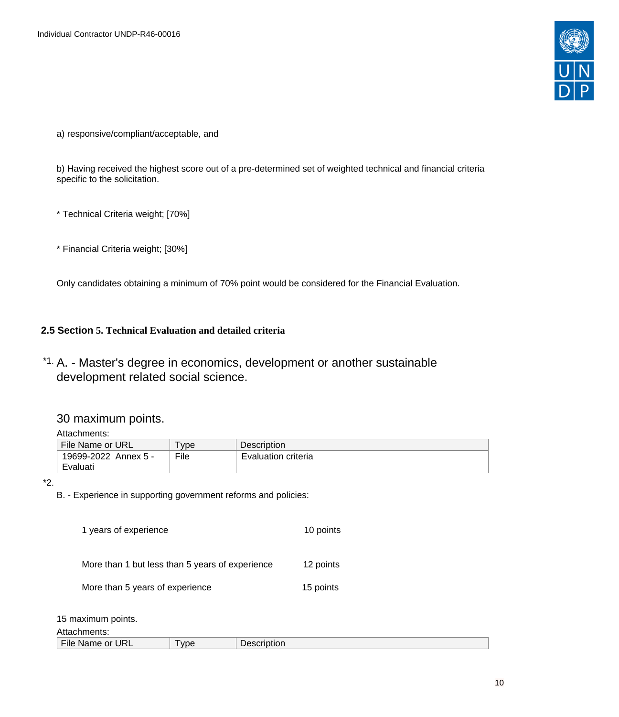

a) responsive/compliant/acceptable, and

b) Having received the highest score out of a pre-determined set of weighted technical and financial criteria specific to the solicitation.

\* Technical Criteria weight; [70%]

\* Financial Criteria weight; [30%]

Only candidates obtaining a minimum of 70% point would be considered for the Financial Evaluation.

### <span id="page-9-0"></span>**2.5 Section 5. Technical Evaluation and detailed criteria**

\*1. A. - Master's degree in economics, development or another sustainable development related social science.

## 30 maximum points.

Attachments:

| File Name or URL     | vpe  | <b>Description</b>  |
|----------------------|------|---------------------|
| 19699-2022 Annex 5 - | File | Evaluation criteria |
| Evaluati             |      |                     |

\*2.

B. - Experience in supporting government reforms and policies:

| 1 years of experience                           | 10 points |  |
|-------------------------------------------------|-----------|--|
| More than 1 but less than 5 years of experience | 12 points |  |
| More than 5 years of experience                 | 15 points |  |
| 15 maximum points.                              |           |  |

Attachments:

| .                                     |                          |                        |
|---------------------------------------|--------------------------|------------------------|
| URL<br>$-1$<br>or<br>≒File .<br>Name: | $\overline{\phantom{a}}$ | .<br>10″<br>scription. |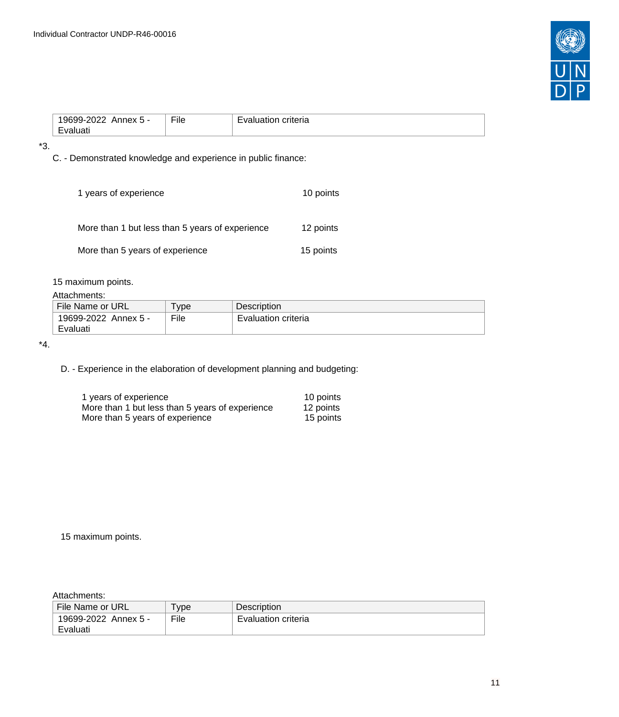

| -<br>_____ | $-1$<br>LIIG | 10<br>. |
|------------|--------------|---------|
|------------|--------------|---------|

\*3.

C. - Demonstrated knowledge and experience in public finance:

| 1 years of experience                           | 10 points |
|-------------------------------------------------|-----------|
| More than 1 but less than 5 years of experience | 12 points |
| More than 5 years of experience                 | 15 points |

15 maximum points.

#### Attachments:

| File Name or URL     | vpe  | Description         |
|----------------------|------|---------------------|
| 19699-2022 Annex 5 - | File | Evaluation criteria |
| Evaluati             |      |                     |

\*4.

D. - Experience in the elaboration of development planning and budgeting:

| 1 years of experience                           | 10 points |
|-------------------------------------------------|-----------|
| More than 1 but less than 5 years of experience | 12 points |
| More than 5 years of experience                 | 15 points |

15 maximum points.

Attachments:

| File Name or URL     | vpe  | <b>Description</b>  |
|----------------------|------|---------------------|
| 19699-2022 Annex 5 - | File | Evaluation criteria |
| Evaluati             |      |                     |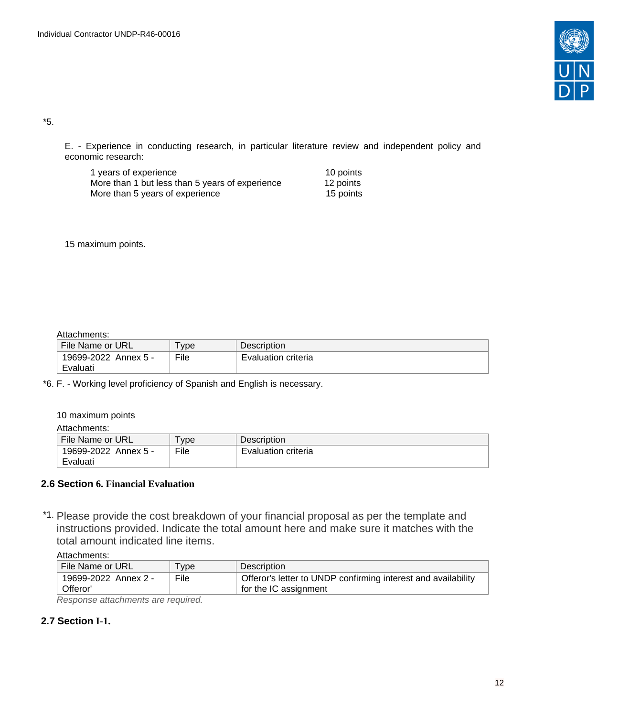

\*5.

E. - Experience in conducting research, in particular literature review and independent policy and economic research:

| 1 years of experience                           | 10 points |
|-------------------------------------------------|-----------|
| More than 1 but less than 5 years of experience | 12 points |
| More than 5 years of experience                 | 15 points |

15 maximum points.

#### Attachments:

| .                    |      |                     |
|----------------------|------|---------------------|
| File Name or URL     | vpe  | <b>Description</b>  |
| 19699-2022 Annex 5 - | File | Evaluation criteria |
| Evaluati             |      |                     |

\*6. F. - Working level proficiency of Spanish and English is necessary.

10 maximum points

Attachments:

| File Name or URL     | <b>vpe</b> | Description         |
|----------------------|------------|---------------------|
| 19699-2022 Annex 5 - | File       | Evaluation criteria |
| Evaluati             |            |                     |

### <span id="page-11-0"></span>**2.6 Section 6. Financial Evaluation**

\*1. Please provide the cost breakdown of your financial proposal as per the template and instructions provided. Indicate the total amount here and make sure it matches with the total amount indicated line items.

| Attachments: |
|--------------|
|--------------|

| File Name or URL     | <b>vpe</b> | Description                                                   |
|----------------------|------------|---------------------------------------------------------------|
| 19699-2022 Annex 2 - | File       | Offeror's letter to UNDP confirming interest and availability |
| Offeror'             |            | for the IC assignment                                         |

Response attachments are required*.*

## <span id="page-11-1"></span>**2.7 Section I-1.**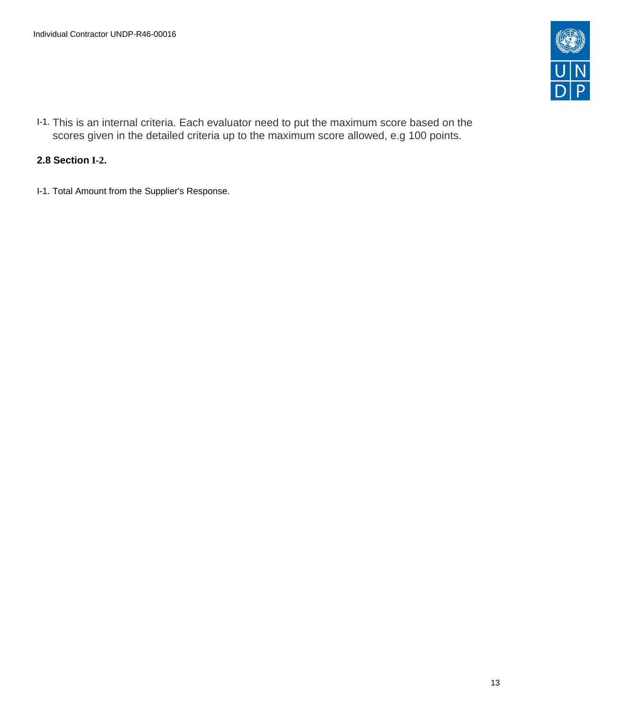

I-1. This is an internal criteria. Each evaluator need to put the maximum score based on the scores given in the detailed criteria up to the maximum score allowed, e.g 100 points.

## <span id="page-12-0"></span>**2.8 Section I-2.**

I-1. Total Amount from the Supplier's Response.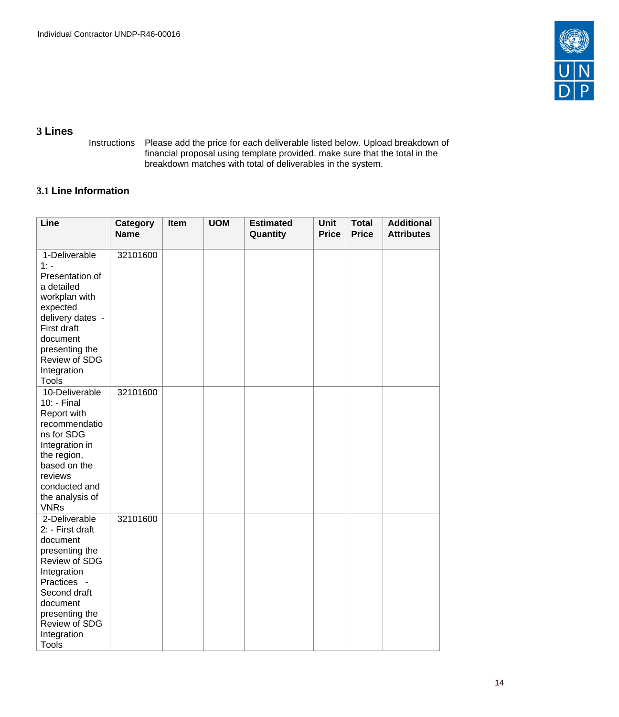

## <span id="page-13-0"></span>**3 Lines**

Instructions Please add the price for each deliverable listed below. Upload breakdown of financial proposal using template provided. make sure that the total in the breakdown matches with total of deliverables in the system.

## <span id="page-13-1"></span>**3.1 Line Information**

| Line                                                                                                                                                                                                         | <b>Category</b><br><b>Name</b> | Item | <b>UOM</b> | <b>Estimated</b><br>Quantity | Unit<br><b>Price</b> | <b>Total</b><br><b>Price</b> | <b>Additional</b><br><b>Attributes</b> |
|--------------------------------------------------------------------------------------------------------------------------------------------------------------------------------------------------------------|--------------------------------|------|------------|------------------------------|----------------------|------------------------------|----------------------------------------|
| 1-Deliverable<br>$1: -$<br>Presentation of<br>a detailed<br>workplan with<br>expected<br>delivery dates -<br>First draft<br>document<br>presenting the<br>Review of SDG<br>Integration<br><b>Tools</b>       | 32101600                       |      |            |                              |                      |                              |                                        |
| 10-Deliverable<br>10: - Final<br>Report with<br>recommendatio<br>ns for SDG<br>Integration in<br>the region,<br>based on the<br>reviews<br>conducted and<br>the analysis of<br><b>VNRs</b>                   | 32101600                       |      |            |                              |                      |                              |                                        |
| 2-Deliverable<br>2: - First draft<br>document<br>presenting the<br>Review of SDG<br>Integration<br>Practices -<br>Second draft<br>document<br>presenting the<br>Review of SDG<br>Integration<br><b>Tools</b> | 32101600                       |      |            |                              |                      |                              |                                        |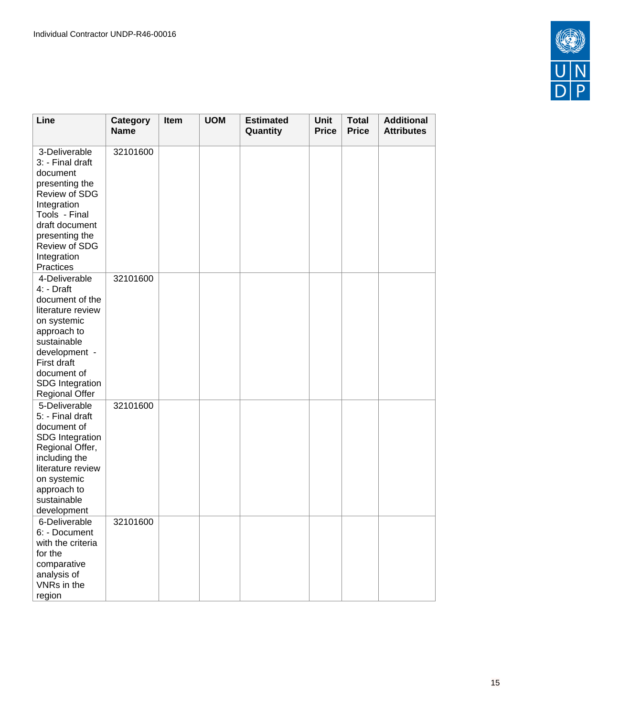

| Line                                                                                                                                                                                                               | Category<br><b>Name</b> | Item | <b>UOM</b> | <b>Estimated</b><br>Quantity | <b>Unit</b><br><b>Price</b> | <b>Total</b><br><b>Price</b> | <b>Additional</b><br><b>Attributes</b> |
|--------------------------------------------------------------------------------------------------------------------------------------------------------------------------------------------------------------------|-------------------------|------|------------|------------------------------|-----------------------------|------------------------------|----------------------------------------|
| 3-Deliverable<br>3: - Final draft<br>document<br>presenting the<br>Review of SDG<br>Integration<br>Tools - Final<br>draft document<br>presenting the<br>Review of SDG<br>Integration<br>Practices                  | 32101600                |      |            |                              |                             |                              |                                        |
| 4-Deliverable<br>4: - Draft<br>document of the<br>literature review<br>on systemic<br>approach to<br>sustainable<br>development -<br><b>First draft</b><br>document of<br><b>SDG</b> Integration<br>Regional Offer | 32101600                |      |            |                              |                             |                              |                                        |
| 5-Deliverable<br>5: - Final draft<br>document of<br><b>SDG</b> Integration<br>Regional Offer,<br>including the<br>literature review<br>on systemic<br>approach to<br>sustainable<br>development                    | 32101600                |      |            |                              |                             |                              |                                        |
| 6-Deliverable<br>6: - Document<br>with the criteria<br>for the<br>comparative<br>analysis of<br>VNRs in the<br>region                                                                                              | 32101600                |      |            |                              |                             |                              |                                        |